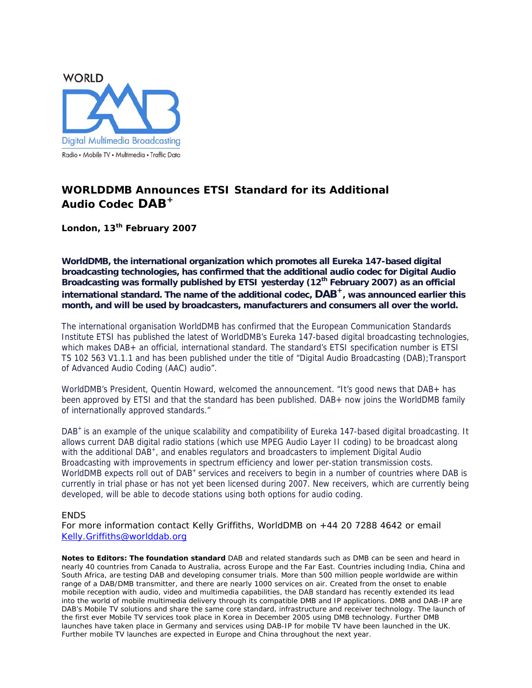

## **WORLDDMB Announces ETSI Standard for its Additional Audio Codec DAB<sup>+</sup>**

**London, 13th February 2007** 

**WorldDMB, the international organization which promotes all Eureka 147-based digital broadcasting technologies, has confirmed that the additional audio codec for Digital Audio Broadcasting was formally published by ETSI yesterday (12th February 2007) as an official**  international standard. The name of the additional codec, DAB<sup>+</sup>, was announced earlier this **month, and will be used by broadcasters, manufacturers and consumers all over the world.** 

The international organisation WorldDMB has confirmed that the European Communication Standards Institute ETSI has published the latest of WorldDMB's Eureka 147-based digital broadcasting technologies, which makes DAB+ an official, international standard. The standard's ETSI specification number is ETSI TS 102 563 V1.1.1 and has been published under the title of "Digital Audio Broadcasting (DAB);Transport of Advanced Audio Coding (AAC) audio".

WorldDMB's President, Quentin Howard, welcomed the announcement. "It's good news that DAB+ has been approved by ETSI and that the standard has been published. DAB+ now joins the WorldDMB family of internationally approved standards."

DAB<sup>+</sup> is an example of the unique scalability and compatibility of Eureka 147-based digital broadcasting. It allows current DAB digital radio stations (which use MPEG Audio Layer II coding) to be broadcast along with the additional DAB<sup>+</sup>, and enables regulators and broadcasters to implement Digital Audio Broadcasting with improvements in spectrum efficiency and lower per-station transmission costs. WorldDMB expects roll out of DAB<sup>+</sup> services and receivers to begin in a number of countries where DAB is currently in trial phase or has not yet been licensed during 2007. New receivers, which are currently being developed, will be able to decode stations using both options for audio coding.

## ENDS

*For more information contact Kelly Griffiths, WorldDMB on +44 20 7288 4642 or email [Kelly.Griffiths@worlddab.org](mailto:Kelly.Griffiths@worlddab.org)* 

**Notes to Editors: The foundation standard** DAB and related standards such as DMB can be seen and heard in nearly 40 countries from Canada to Australia, across Europe and the Far East. Countries including India, China and South Africa, are testing DAB and developing consumer trials. More than 500 million people worldwide are within range of a DAB/DMB transmitter, and there are nearly 1000 services on air. Created from the onset to enable mobile reception with audio, video and multimedia capabilities, the DAB standard has recently extended its lead into the world of mobile multimedia delivery through its compatible DMB and IP applications. DMB and DAB-IP are DAB's Mobile TV solutions and share the same core standard, infrastructure and receiver technology. The launch of the first ever Mobile TV services took place in Korea in December 2005 using DMB technology. Further DMB launches have taken place in Germany and services using DAB-IP for mobile TV have been launched in the UK. Further mobile TV launches are expected in Europe and China throughout the next year.